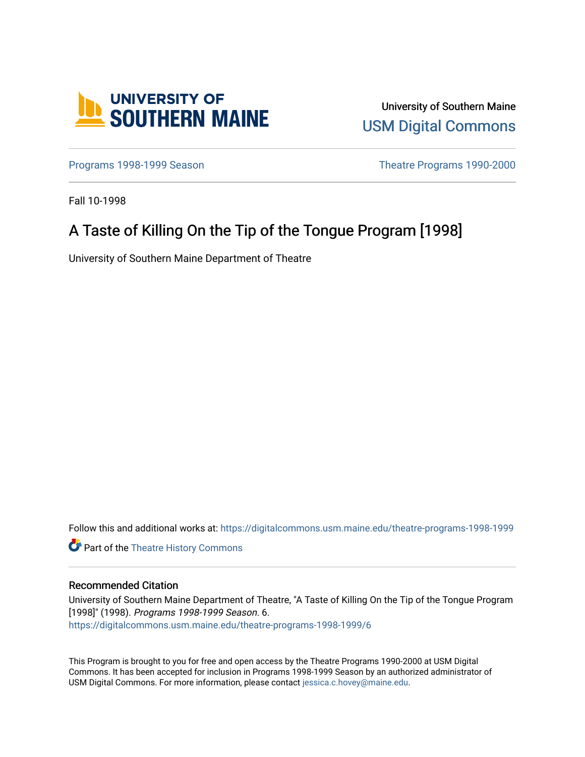

University of Southern Maine [USM Digital Commons](https://digitalcommons.usm.maine.edu/) 

[Programs 1998-1999 Season](https://digitalcommons.usm.maine.edu/theatre-programs-1998-1999) **Theatre Programs 1990-2000** 

Fall 10-1998

# A Taste of Killing On the Tip of the Tongue Program [1998]

University of Southern Maine Department of Theatre

Follow this and additional works at: [https://digitalcommons.usm.maine.edu/theatre-programs-1998-1999](https://digitalcommons.usm.maine.edu/theatre-programs-1998-1999?utm_source=digitalcommons.usm.maine.edu%2Ftheatre-programs-1998-1999%2F6&utm_medium=PDF&utm_campaign=PDFCoverPages) 

**Part of the [Theatre History Commons](http://network.bepress.com/hgg/discipline/553?utm_source=digitalcommons.usm.maine.edu%2Ftheatre-programs-1998-1999%2F6&utm_medium=PDF&utm_campaign=PDFCoverPages)** 

#### Recommended Citation

University of Southern Maine Department of Theatre, "A Taste of Killing On the Tip of the Tongue Program [1998]" (1998). Programs 1998-1999 Season. 6. [https://digitalcommons.usm.maine.edu/theatre-programs-1998-1999/6](https://digitalcommons.usm.maine.edu/theatre-programs-1998-1999/6?utm_source=digitalcommons.usm.maine.edu%2Ftheatre-programs-1998-1999%2F6&utm_medium=PDF&utm_campaign=PDFCoverPages) 

This Program is brought to you for free and open access by the Theatre Programs 1990-2000 at USM Digital Commons. It has been accepted for inclusion in Programs 1998-1999 Season by an authorized administrator of USM Digital Commons. For more information, please contact [jessica.c.hovey@maine.edu](mailto:ian.fowler@maine.edu).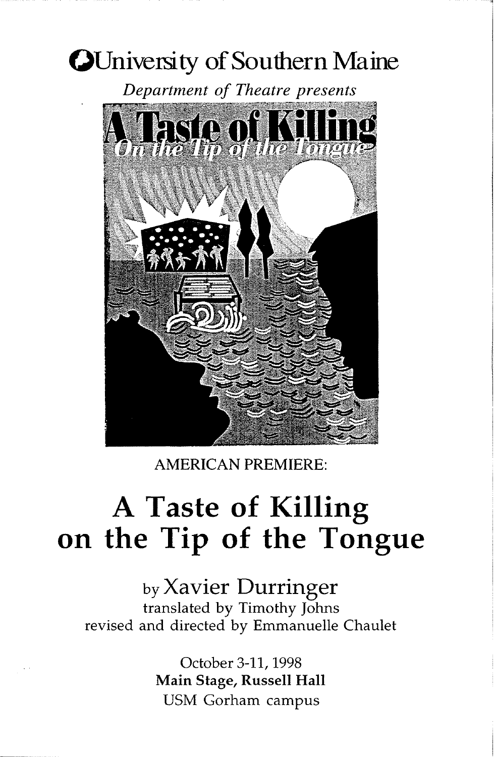# **()University of Southern** Maine



AMERICAN PREMIERE:

# **A Taste of Killing on the Tip of the Tongue**

by Xavier Durringer translated by Timothy Johns revised and directed by Emmanuelle Chaulet

> October 3-11, 1998 Main Stage, Russell Hall USM Gorham campus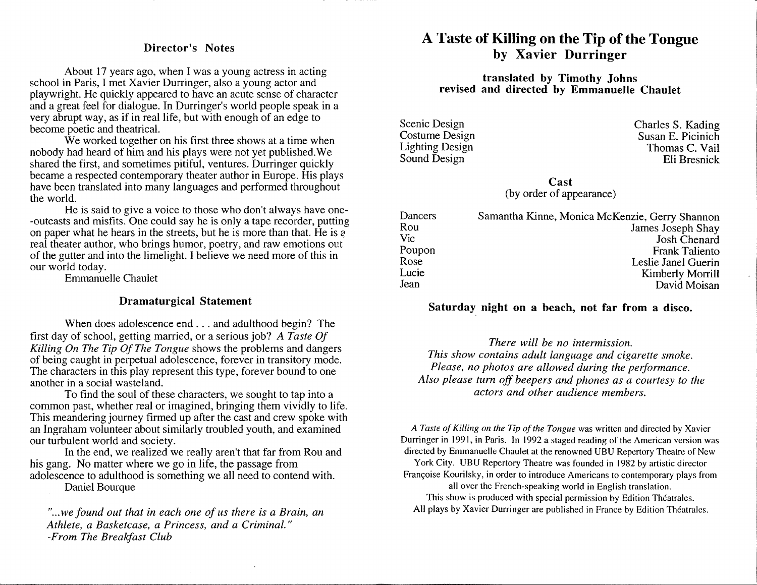#### Director's Notes

About 17 years ago, when I was a young actress in acting school in Paris, I met Xavier Durringer, also a young actor and playwright. He quickly appeared to have an acute sense of character and a great feel for dialogue. In Durringer's world people speak in a very abrupt way, as if in real life, but with enough of an edge to become poetic and theatrical.

We worked together on his first three shows at a time when nobody had heard of him and his plays were not yet published.We shared the first, and sometimes pitiful, ventures. Durringer quickly became a respected contemporary theater author in Europe. His plays have been translated into many languages and performed throughout the world.

He is said to give a voice to those who don't always have one- -outcasts and misfits. One could say he is only a tape recorder, putting on paper what he hears in the streets, but he is more than that. He is  $\overline{a}$ real theater author, who brings humor, poetry, and raw emotions out of the gutter and into the limelight. I believe we need more of this in our world today.

Emmanuelle Chaulet

#### Dramaturgical Statement

When does adolescence end ... and adulthood begin? The first day of school, getting married, or a serious job? *A Taste Of Killing On The Tip Of The Tongue* shows the problems and dangers of being caught in perpetual adolescence, forever in transitory mode. The characters in this play represent this type, forever bound to one another in a social wasteland.

To find the soul of these characters, we sought to tap into a common past, whether real or imagined, bringing them vividly to life. This meandering journey firmed up after the cast and crew spoke with an Ingraham volunteer about similarly troubled youth, and examined our turbulent world and society.

In the end, we realized we really aren't that far from Rou and his gang. No matter where we go in life, the passage from adolescence to adulthood is something we all need to contend with. Daniel Bourque

" ... *we found out that in each one of us there is a Brain, an Athlete, a Basketcase, a Princess, and a Criminal." -From The Breakfast Club* 

# A Taste of Killing on the Tip of the Tongue by Xavier Durringer

#### translated by Timothy Johns revised and directed by Emmanuelle Chaulet

Scenic Design Costume Design Lighting Design Sound Design

Charles S. Kading Susan E. Picinich Thomas C. Vail Eli Bresnick

Cast (by order of appearance)

| Dancers | Samantha Kinne, Monica McKenzie, Gerry Shannon |
|---------|------------------------------------------------|
| Rou     | James Joseph Shay                              |
| Vic     | <b>Josh Chenard</b>                            |
| Poupon  | <b>Frank Taliento</b>                          |
| Rose    | Leslie Janel Guerin                            |
| Lucie   | Kimberly Morrill                               |
| Jean    | David Moisan                                   |

#### Saturday night on a beach, not far from a disco.

*There will be no intermission. This show contains adult language and cigarette smoke. Please, no photos are allowed during the performance. Also please turn off beepers and phones as a courtesy to the actors and other audience members.* 

*A Taste of Killing on the Tip of the Tongue* was written and directed by Xavier Durringer in 1991, in Paris. In 1992 a staged reading of the American version was directed by Emmanuelle Chaulet at the renowned UBU Repertory Theatre of New York City. UBU Repertory Theatre was founded in 1982 by artistic director Françoise Kourilsky, in order to introduce Americans to contemporary plays from all over the French-speaking world in English translation. This show is produced with special permission by Edition Theatrales. All plays by Xavier Durringer are published in France by Edition Theatrales.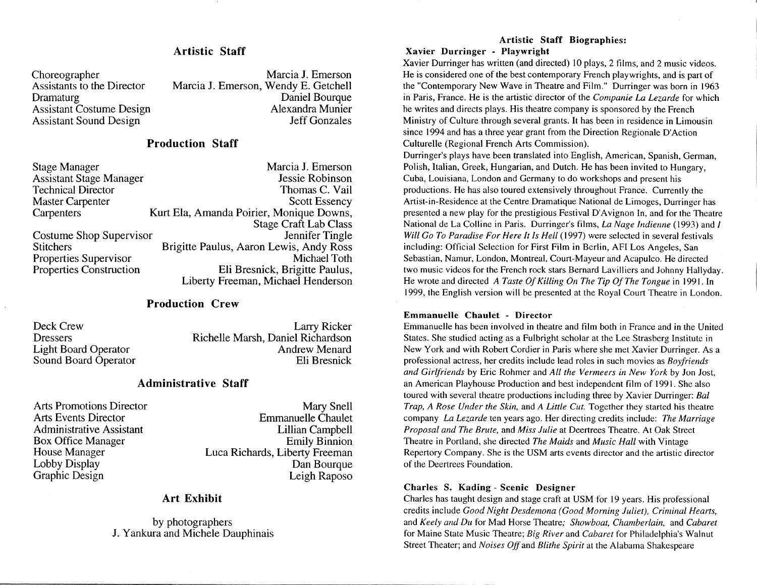#### Artistic Staff

Choreographer Assistants to the Director Dramaturg Assistant Costume Design Assistant Sound Design

Marcia J. Emerson Marcia J. Emerson, Wendy E. Getchell Daniel Bourque Alexandra Munier Jeff Gonzales

#### Production Staff

| Marcia J. Emerson                          |
|--------------------------------------------|
| Jessie Robinson                            |
| Thomas C. Vail                             |
| <b>Scott Essency</b>                       |
| Kurt Ela, Amanda Poirier, Monique Downs,   |
| <b>Stage Craft Lab Class</b>               |
| Jennifer Tingle<br>Costume Shop Supervisor |
| Brigitte Paulus, Aaron Lewis, Andy Ross    |
| Michael Toth                               |
| Eli Bresnick, Brigitte Paulus,             |
| Liberty Freeman, Michael Henderson         |
|                                            |

#### Production Crew

Deck Crew **Dressers** Light Board Operator Sound Board Operator Larry Ricker Richelle Marsh, Daniel Richardson Andrew Menard Eli Bresnick

#### Administrative Staff

Arts Promotions Director Arts Events Director Administrative Assistant Box Office Manager House Manager Lobby Display Graphic Design

Mary Snell Emmanuelle Chaulet Lillian Campbell Emily Binnion Luca Richards, Liberty Freeman Dan Bourque Leigh Raposo

#### Art Exhibit

by photographers J. Y ankura and Michele Dauphinais

# Artistic Staff Biographies:

#### Xavier Durringer - Playwright

Xavier Durringer has written (and directed) IO plays, 2 films, and 2 music videos. He is considered one of the best contemporary French playwrights, and is part of the "Contemporary New Wave in Theatre and Film." Durringer was born in 1963 in Paris, France. He is the artistic director of the *Companie La Lezarde* for which he writes and directs plays. His theatre company is sponsored by the French Ministry of Culture through several grants. It has been in residence in Limousin since 1994 and has a three year grant from the Direction Regionale D'Action Culturelle (Regional French Arts Commission).

Durringer's plays have been translated into English, American, Spanish, German, Polish, Italian, Greek, Hungarian, and Dutch. He has been invited to Hungary, Cuba, Louisiana, London and Germany to do workshops and present his productions. He has also toured extensively throughout France. Currently the Artist-in-Residence at the Centre Dramatique National de Limoges, Durringer has presented a new play for the prestigious Festival D'Avignon In, and for the Theatre National de La Colline in Paris. Durringer's films, *La Nage Indienne* ( 1993) and *I Will Go To Paradise For Here It ls Hell* ( 1997) were selected in several festivals including: Official Selection for First Film in Berlin, AFI Los Angeles, San Sebastian, Namur, London, Montreal, Court-Mayeur and Acapulco. He directed two music videos for the French rock stars Bernard Lavilliers and Johnny Hallyday. He wrote and directed *A Taste Of Killing On The Tip Of The Tongue* in 1991. In 1999, the English version will be presented at the Royal Court Theatre in London.

#### Emmanuelle Chaulet - Director

Emmanuelle has been involved in theatre and film both in France and in the United States. She studied acting as a Fulbright scholar at the Lee Strasberg Institute in New York and with Robert Cordier in Paris where she met Xavier Durringer. As a professional actress, her credits include lead roles in such movies as *Boyfriends and Girlfriends* by Eric Rohmer and *All the Vermeers in New York* by Jon Jost, an American Playhouse Production and best independent film of 1991. She also toured with several theatre productions including three by Xavier Durringer: *Bal Trap, A Rose Under the Skin,* and *A Little Cut.* Together they started his theatre company *La Lezarde* ten years ago. Her directing credits include: *The Marriage Proposal and The Brute,* and *Miss Julie* at Deertrees Theatre. At Oak Street Theatre in Portland, she directed *The Maids* and *Music Hall* with Vintage Repertory Company. She is the USM arts events director and the artistic director of the Deertrees Foundation.

#### Charles S. Kading - Scenic Designer

Charles has taught design and stage craft at USM for 19 years. His professional credits include *Good Night Desdemona (Good Morning Juliet), Criminal Hearts,*  and *Keely and Du* for Mad Horse Theatre; *Showboat, Chamberlain,* and *Cabaret*  for Maine State Music Theatre; *Big River* and *Cabaret* for Philadelphia's Walnut Street Theater; and *Noises Off* and *Blithe Spirit* at the Alabama Shakespeare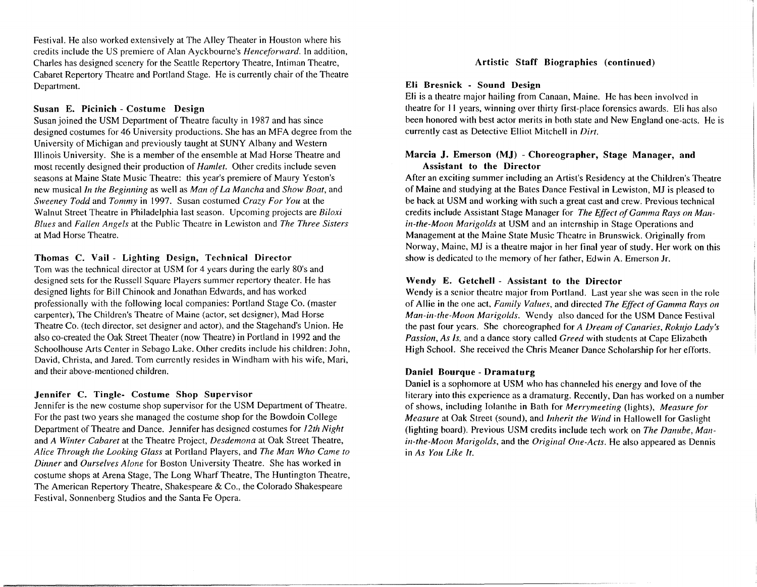Festival. He also worked extensively at The Alley Theater in Houston where his credits include the US premiere of Alan Ayckbourne's *Henceforward.* In addition, Charles has designed scenery for the Seattle Repertory Theatre, Intiman Theatre, Cabaret Repertory Theatre and Portland Stage. He is currently chair of the Theatre Department.

#### Susan E. Picinich - Costume Design

Susan joined the USM Department of Theatre faculty in 1987 and has since designed costumes for 46 University productions. She has an MFA degree from the University of Michigan and previously taught at SUNY Albany and Western Illinois University. She is a member of the ensemble at Mad Horse Theatre and most recently designed their production of *Hamlet.* Other credits include seven seasons at Maine State Music Theatre: this year's premiere of Maury Yeston's new musical *In the Beginning* as well as *Man of La Mancha* and *Show Boat,* and *Sweeney Todd* and *Tommy* in 1997. Susan costumed *Crazy For You* at the Walnut Street Theatre in Philadelphia last season. Upcoming projects are *Biloxi Blues* and *Fallen Angels* at the Public Theatre in Lewiston and *The Three Sisters*  at Mad Horse Theatre.

#### Thomas C. Vail - Lighting Design, Technical Director

Tom was the technical director at USM for 4 years during the early SO's and designed sets for the Russell Square Players summer repertory theater. He has designed lights for Bill Chinook and Jonathan Edwards, and has worked professionally with the following local companies: Portland Stage Co. (master carpenter), The Children's Theatre of Maine (actor, set designer), Mad Horse Theatre Co. (tech director, set designer and actor), and the Stagehand's Union. He also co-created the Oak Street Theater (now Theatre) in Portland in 1992 and the Schoolhouse Arts Center in Sebago Lake. Other credits include his children: John, David, Christa, and Jared. Tom currently resides in Windham with his wife, Mari, and their above-mentioned children.

#### Jennifer C. Tingle- Costume Shop Supervisor

Jennifer is the new costume shop supervisor for the USM Department of Theatre. For the past two years she managed the costume shop for the Bowdoin College Department of Theatre and Dance. Jennifer has designed costumes for *12th Night*  and *A Winter Cabaret* at the Theatre Project, *Desdemona* at Oak Street Theatre, *Alice Through the Looking Glass* at Portland Players, and *The Man Who Came to Dinner* and *Ourselves Alone* for Boston University Theatre. She has worked in costume shops at Arena Stage, The Long Wharf Theatre, The Huntington Theatre, The American Repertory Theatre, Shakespeare & Co., the Colorado Shakespeare Festival, Sonnenberg Studios and the Santa Fe Opera.

#### Artistic Staff Biographies ( continued)

#### Eli Bresnick - Sound Design

Eli is a theatre major hailing from Canaan, Maine. He has been involved in theatre for 11 years, winning over thirty first-place forensics awards. Eli has also been honored with best actor merits in both state and New England one-acts. He is currently cast as Detective Elliot Mitchell in *Dirt.* 

#### Marcia J. Emerson (MJ) - Choreographer, Stage Manager, and Assistant to the Director

After an exciting summer including an Artist's Residency at the Children's Theatre of Maine and studying at the Bates Dance Festival in Lewiston, MJ is pleased to be back at USM and working with such a great cast and crew. Previous technical credits include Assistant Stage Manager for *The Effect of Gamma Rays on Ma11 in-the-Moon Marigolds* at USM and an internship in Stage Operations and Management at the Maine State Music Theatre in Brunswick. Originally from Norway, Maine, MJ is a theatre major in her final year of study. Her work on this show is dedicated to the memory of her father, Edwin A. Emerson Jr.

#### Wendy E. Getchell - Assistant to the Director

Wendy is a senior theatre major from Portland. Last year she was seen in the role of Allie in the one act, *Family Values,* and directed *The Effect of Gamma Rays* <sup>011</sup> *Man-in-the-Moon Marigolds.* Wendy also danced for the USM Dance Festival the past four years. She choreographed for *A Dream of Canaries, Rokujo Lady's Passion, As Is.* and a dance story called *Greed* with students at Cape Elizabeth High School. She received the Chris Meaner Dance Scholarship for her efforts.

#### Daniel Bourque - Dramaturg

Daniel is a sophomore at USM who has channeled his energy and love of the literary into this experience as a dramaturg. Recently, Dan has worked on a number of shows, including Iolanthe in Bath for *Merrymeeting* (lights), *Measure for Mearnre* at Oak Street (sound), and *Inherit the Wind* in Hallowell for Gaslight (lighting board). Previous USM credits include tech work on *The Danube, Manin-the-Moon Marigolds,* and the *Original One-Acts.* He also appeared as Dennis in *As You Like It.*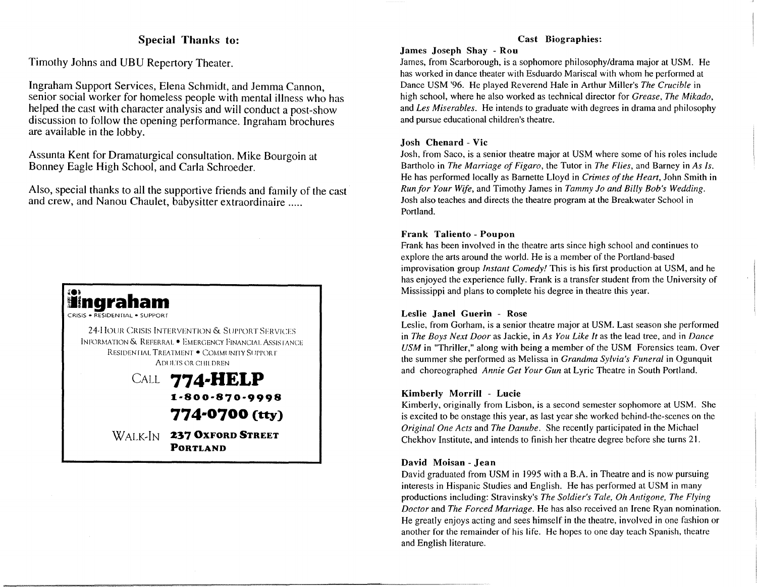## Special Thanks to:

Timothy Johns and UBU Repertory Theater.

Ingraham Support Services, Elena Schmidt, and Jemma Cannon, senior social worker for homeless people with mental illness who has helped the cast with character analysis and will conduct a post-show discussion to follow the opening performance. Ingraham brochures are available in the lobby.

Assunta Kent for Dramaturgical consultation. Mike Bourgoin at Bonney Eagle High School, and Carla Schroeder.

Also, special thanks to all the supportive friends and family of the cast and crew, and Nanou Chaulet, babysitter extraordinaire .....



WALK~IN **237 OXFORD STREET PORTLAND** 

#### Cast Biographies:

#### James Joseph Shay - Rou

James, from Scarborough, is a sophomore philosophy/drama major at USM. He has worked in dance theater with Esduardo Mariscal with whom he performed at Dance USM '96. He played Reverend Hale in Arthur Miller's *The Crucible* in high school, where he also worked as technical director for *Grease, The Mikado,*  and *Les Miserables.* He intends to graduate with degrees in drama and philosophy and pursue educational children's theatre.

#### Josh Chenard - Vic

Josh, from Saco, is a senior theatre major at USM where some of his roles include Bartholo in *The Marriage of Figaro,* the Tutor in *The Flies,* and Barney in *As ls.*  He has performed locally as Barnette Lloyd in *Crimes of the Heart,* John Smith in *Run for Your Wife,* and Timothy James in *Tammy Jo and Billy Bob's Wedding.*  Josh also teaches and directs the theatre program at the Breakwater School in Portland.

#### Frank Taliento - Poupon

Frank has been involved in the theatre arts since high school and continues to explore the arts around the world. He is a member of the Portland-based improvisation group *Instant Comedy!* This is his first production at USM, and he has enjoyed the experience fully. Frank is a transfer student from the University of Mississippi and plans to complete his degree in theatre this year.

#### Leslie Janel Guerin - Rose

Leslie, from Gorham, is a senior theatre major at USM. Last season she performed in *The Boys Next Door* as Jackie, in *As You Like It* as the lead tree, and in *Dance USM* in "Thriller," along with being a member of the USM Forensics team. Over the summer she performed as Melissa in *Grandma Sylvia's Funeral* in Ogunquit and choreographed *Annie Get Your Gun* at Lyric Theatre in South Portland.

#### Kimberly Morrill - Lucie

Kimberly, originally from Lisbon, is a second semester sophomore at USM. She is excited to be onstage this year, as last year she worked behind-the-scenes on the *Original One Acts* and *The Danube.* She recently participated in the Michael Chekhov Institute, and intends to finish her theatre degree before she turns 21.

#### David Moisan - Jean

David graduated from USM in 1995 with a B.A. in Theatre and is now pursuing interests in Hispanic Studies and English. He has performed at USM in many productions including: Stravinsky's *The Soldier's Tale, Oh Antigone, The Flying Doctor* and *The Forced Marriage.* He has also received an Irene Ryan nomination. He greatly enjoys acting and sees himself in the theatre, involved in one fashion or another for the remainder of his life. He hopes to one day teach Spanish, theatre and English literature.